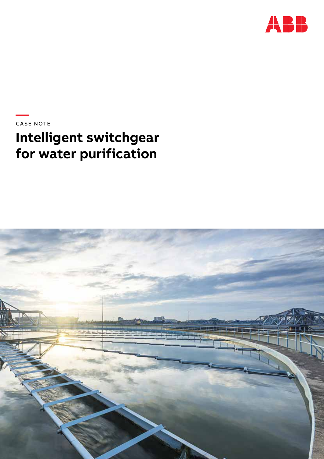

**—**CASE NOTE

# **Intelligent switchgear for water purification**

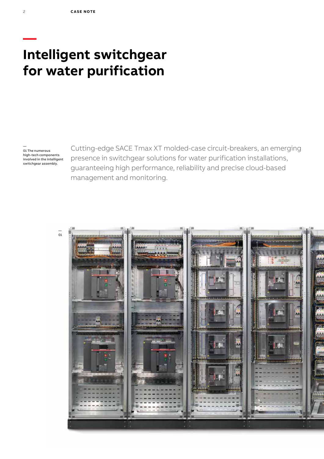# **Intelligent switchgear for water purification**

— 01 The numerous high-tech components involved in the intelligent switchgear assembly.

Cutting-edge SACE Tmax XT molded-case circuit-breakers, an emerging presence in switchgear solutions for water purification installations, guaranteeing high performance, reliability and precise cloud-based management and monitoring.



**—**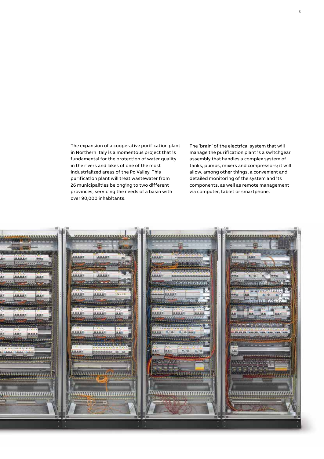The expansion of a cooperative purification plant in Northern Italy is a momentous project that is fundamental for the protection of water quality in the rivers and lakes of one of the most industrialized areas of the Po Valley. This purification plant will treat wastewater from 26 municipalities belonging to two different provinces, servicing the needs of a basin with over 90,000 inhabitants.

The 'brain' of the electrical system that will manage the purification plant is a switchgear assembly that handles a complex system of tanks, pumps, mixers and compressors; it will allow, among other things, a convenient and detailed monitoring of the system and its components, as well as remote management via computer, tablet or smartphone.

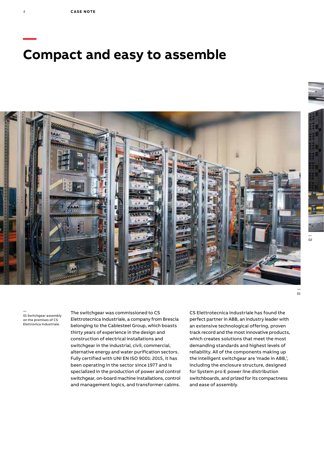# **— Compact and easy to assemble**



— 01 Switchgear assembly on the premises of CS Elettronica Industriale.

The switchgear was commissioned to CS Elettrotecnica Industriale, a company from Brescia belonging to the Cablesteel Group, which boasts thirty years of experience in the design and construction of electrical installations and switchgear in the industrial, civil, commercial, alternative energy and water purification sectors. Fully certified with UNI EN ISO 9001: 2015, it has been operating in the sector since 1977 and is specialized in the production of power and control switchgear, on-board machine installations, control and management logics, and transformer cabins.

CS Elettrotecnica Industriale has found the perfect partner in ABB, an industry leader with an extensive technological offering, proven track record and the most innovative products, which creates solutions that meet the most demanding standards and highest levels of reliability. All of the components making up the intelligent switchgear are 'made in ABB,', including the enclosure structure, designed for System pro E power line distribution switchboards, and prized for its compactness and ease of assembly.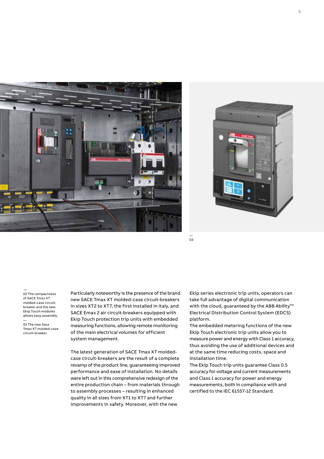



— 03

 — 02 The compactness of SACE Tmax XT molded-case circuitbreaker and the new Ekip Touch modules allows easy assembly.

— 03 The new Sace Tmax XT molded-case circuit-breaker.

Particularly noteworthy is the presence of the brand new SACE Tmax XT molded-case circuit-breakers in sizes XT2 to XT7, the first installed in Italy, and SACE Emax 2 air circuit-breakers equipped with Ekip Touch protection trip units with embedded measuring functions, allowing remote monitoring of the main electrical volumes for efficient system management.

The latest generation of SACE Tmax XT moldedcase circuit-breakers are the result of a complete revamp of the product line, guaranteeing improved performance and ease of installation. No details were left out in this comprehensive redesign of the entire production chain – from materials through to assembly processes – resulting in enhanced quality in all sizes from XT1 to XT7 and further improvements in safety. Moreover, with the new

Ekip series electronic trip units, operators can take full advantage of digital communication with the cloud, guaranteed by the ABB Ability™ Electrical Distribution Control System (EDCS) platform.

The embedded metering functions of the new Ekip Touch electronic trip units allow you to measure power and energy with Class 1 accuracy, thus avoiding the use of additional devices and at the same time reducing costs, space and installation time.

The Ekip Touch trip units guarantee Class 0.5 accuracy for voltage and current measurements and Class 1 accuracy for power and energy measurements, both in compliance with and certified to the IEC 61557-12 Standard.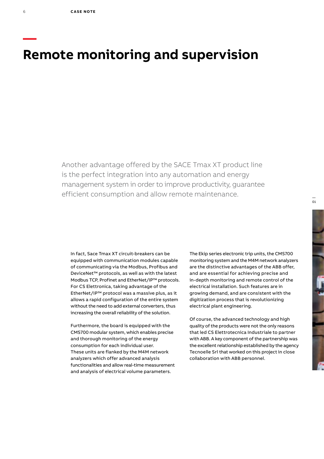**—**

# **Remote monitoring and supervision**

Another advantage offered by the SACE Tmax XT product line is the perfect integration into any automation and energy management system in order to improve productivity, guarantee efficient consumption and allow remote maintenance.

In fact, Sace Tmax XT circuit-breakers can be equipped with communication modules capable of communicating via the Modbus, Profibus and DeviceNet™ protocols, as well as with the latest Modbus TCP, Profinet and EtherNet/IP™ protocols. For CS Elettronica, taking advantage of the EtherNet/IP™ protocol was a massive plus, as it allows a rapid configuration of the entire system without the need to add external converters, thus increasing the overall reliability of the solution.

Furthermore, the board is equipped with the CMS700 modular system, which enables precise and thorough monitoring of the energy consumption for each individual user. These units are flanked by the M4M network analyzers which offer advanced analysis functionalities and allow real-time measurement and analysis of electrical volume parameters.

The Ekip series electronic trip units, the CMS700 monitoring system and the M4M network analyzers are the distinctive advantages of the ABB offer, and are essential for achieving precise and in-depth monitoring and remote control of the electrical installation. Such features are in growing demand, and are consistent with the digitization process that is revolutionizing electrical plant engineering.

Of course, the advanced technology and high quality of the products were not the only reasons that led CS Elettrotecnica Industriale to partner with ABB. A key component of the partnership was the excellent relationship established by the agency Tecnoelle Srl that worked on this project in close collaboration with ABB personnel.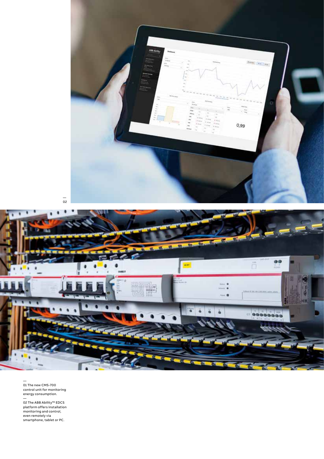





— 01 The new CMS-700 control unit for monitoring energy consumption.

— 02 The ABB Ability™ EDCS platform offers installation monitoring and control, even remotely via smartphone, tablet or PC.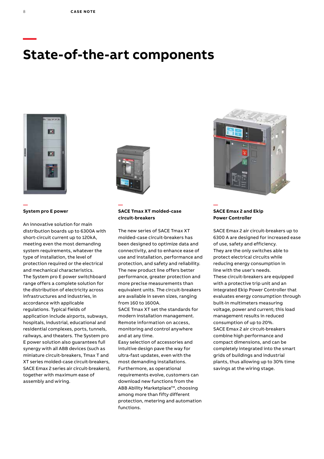# **State-of-the-art components**



**System pro E power** 

**—**

An innovative solution for main distribution boards up to 6300A with short-circuit current up to 120kA, meeting even the most demanding system requirements, whatever the type of installation, the level of protection required or the electrical and mechanical characteristics. The System pro E power switchboard range offers a complete solution for the distribution of electricity across infrastructures and industries, in accordance with applicable regulations. Typical fields of application include airports, subways, hospitals, industrial, educational and residential complexes, ports, tunnels, railways, and theaters. The System pro E power solution also guarantees full synergy with all ABB devices (such as miniature circuit-breakers, Tmax T and XT series molded-case circuit-breakers, SACE Emax 2 series air circuit-breakers), together with maximum ease of assembly and wiring.



**—**

# **SACE Tmax XT molded-case circuit-breakers**

The new series of SACE Tmax XT molded-case circuit-breakers has been designed to optimize data and connectivity, and to enhance ease of use and installation, performance and protection, and safety and reliability. The new product line offers better performance, greater protection and more precise measurements than equivalent units. The circuit-breakers are available in seven sizes, ranging from 160 to 1600A.

SACE Tmax XT set the standards for modern installation management. Remote information on access, monitoring and control anywhere and at any time.

Easy selection of accessories and intuitive design pave the way for ultra-fast updates, even with the most demanding installations. Furthermore, as operational requirements evolve, customers can download new functions from the ABB Ability Marketplace™, choosing among more than fifty different protection, metering and automation functions.



## **SACE Emax 2 and Ekip Power Controller**

**—**

SACE Emax 2 air circuit-breakers up to 6300 A are designed for increased ease of use, safety and efficiency. They are the only switches able to protect electrical circuits while reducing energy consumption in line with the user's needs. These circuit-breakers are equipped with a protective trip unit and an integrated Ekip Power Controller that evaluates energy consumption through built-in multimeters measuring voltage, power and current; this load management results in reduced consumption of up to 20%. SACE Emax 2 air circuit-breakers combine high performance and compact dimensions, and can be completely integrated into the smart grids of buildings and industrial plants, thus allowing up to 30% time savings at the wiring stage.

**—**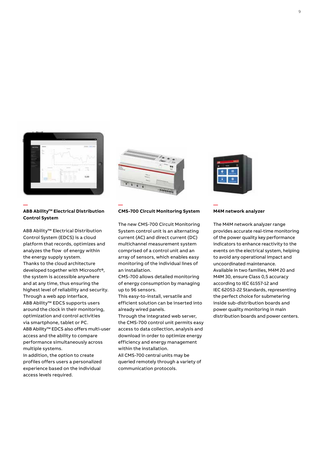



**—**

# **ABB Ability™ Electrical Distribution Control System**

**—**

ABB Ability™ Electrical Distribution Control System (EDCS) is a cloud platform that records, optimizes and analyzes the flow of energy within the energy supply system. Thanks to the cloud architecture developed together with Microsoft®, the system is accessible anywhere and at any time, thus ensuring the highest level of reliability and security. Through a web app interface, ABB Ability™ EDCS supports users around the clock in their monitoring, optimization and control activities via smartphone, tablet or PC. ABB Ability™ EDCS also offers multi-user access and the ability to compare performance simultaneously across multiple systems.

In addition, the option to create profiles offers users a personalized experience based on the individual access levels required.

### **CMS-700 Circuit Monitoring System**

The new CMS-700 Circuit Monitoring System control unit is an alternating current (AC) and direct current (DC) multichannel measurement system comprised of a control unit and an array of sensors, which enables easy monitoring of the individual lines of an installation.

CMS-700 allows detailed monitoring of energy consumption by managing up to 96 sensors.

This easy-to-install, versatile and efficient solution can be inserted into already wired panels.

Through the integrated web server, the CMS-700 control unit permits easy access to data collection, analysis and download in order to optimize energy efficiency and energy management within the installation.

All CMS-700 central units may be queried remotely through a variety of communication protocols.



**—**

#### **M4M network analyzer**

The M4M network analyzer range provides accurate real-time monitoring of the power quality key performance indicators to enhance reactivity to the events on the electrical system, helping to avoid any operational impact and uncoordinated maintenance. Available in two families, M4M 20 and M4M 30, ensure Class 0,5 accuracy according to IEC 61557-12 and IEC 62053-22 Standards, representing the perfect choice for submetering inside sub-distribution boards and power quality monitoring in main distribution boards and power centers.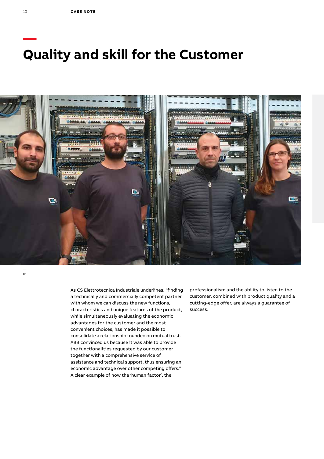# **Quality and skill for the Customer**



—<br>01

As CS Elettrotecnica Industriale underlines: "finding a technically and commercially competent partner with whom we can discuss the new functions, characteristics and unique features of the product, while simultaneously evaluating the economic advantages for the customer and the most convenient choices, has made it possible to consolidate a relationship founded on mutual trust. ABB convinced us because it was able to provide the functionalities requested by our customer together with a comprehensive service of assistance and technical support, thus ensuring an economic advantage over other competing offers." A clear example of how the 'human factor', the

professionalism and the ability to listen to the customer, combined with product quality and a cutting-edge offer, are always a guarantee of success.

**—**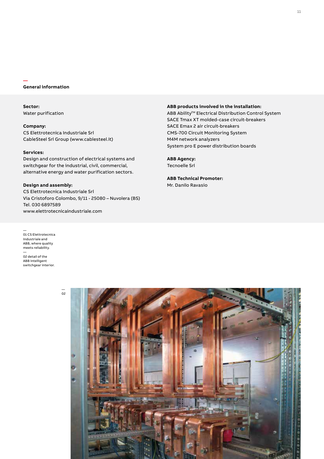### **General information**

**—** 

**Sector:** Water purification

**Company:** CS Elettrotecnica Industriale Srl CableSteel Srl Group (www.cablesteel.it)

# **Services:**

Design and construction of electrical systems and switchgear for the industrial, civil, commercial, alternative energy and water purification sectors.

### **Design and assembly:**

CS Elettrotecnica Industriale Srl Via Cristoforo Colombo, 9/11 - 25080 – Nuvolera (BS) Tel. 030 6897589 www.elettrotecnicaindustriale.com

— 01 CS Elettrotecnica Industriale and ABB, where quality meets reliability.

— 02 detail of the ABB intelligent switchgear interior.



### **ABB products involved in the installation:**

ABB Ability<sup>™</sup> Electrical Distribution Control System SACE Tmax XT molded-case circuit-breakers SACE Emax 2 air circuit-breakers CMS-700 Circuit Monitoring System M4M network analyzers System pro E power distribution boards

**ABB Agency:** Tecnoelle Srl

### **ABB Technical Promoter:** Mr. Danilo Ravasio